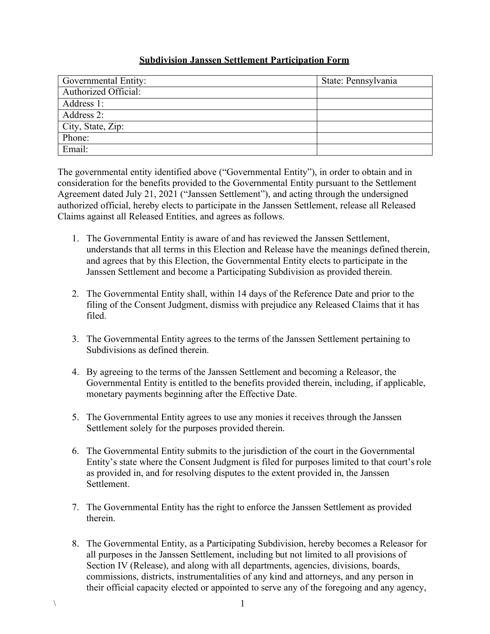## **Subdivision Janssen Settlement Participation Form**

| Governmental Entity:        | State: Pennsylvania |
|-----------------------------|---------------------|
| <b>Authorized Official:</b> |                     |
| Address 1:                  |                     |
| Address 2:                  |                     |
| City, State, Zip:           |                     |
| Phone:                      |                     |
| Email:                      |                     |

The governmental entity identified above ("Governmental Entity"), in order to obtain and in consideration for the benefits provided to the Governmental Entity pursuant to the Settlement Agreement dated July 21, 2021 ("Janssen Settlement"), and acting through the undersigned authorized official, hereby elects to participate in the Janssen Settlement, release all Released Claims against all Released Entities, and agrees as follows.

- 1. The Governmental Entity is aware of and has reviewed the Janssen Settlement, understands that all terms in this Election and Release have the meanings defined therein, and agrees that by this Election, the Governmental Entity elects to participate in the Janssen Settlement and become a Participating Subdivision as provided therein.
- 2. The Governmental Entity shall, within 14 days of the Reference Date and prior to the filing of the Consent Judgment, dismiss with prejudice any Released Claims that it has filed.
- 3. The Governmental Entity agrees to the terms of the Janssen Settlement pertaining to Subdivisions as defined therein.
- 4. By agreeing to the terms of the Janssen Settlement and becoming a Releasor, the Governmental Entity is entitled to the benefits provided therein, including, if applicable, monetary payments beginning after the Effective Date.
- 5. The Governmental Entity agrees to use any monies it receives through the Janssen Settlement solely for the purposes provided therein.
- 6. The Governmental Entity submits to the jurisdiction of the court in the Governmental Entity's state where the Consent Judgment is filed for purposes limited to that court'srole as provided in, and for resolving disputes to the extent provided in, the Janssen Settlement.
- 7. The Governmental Entity has the right to enforce the Janssen Settlement as provided therein.
- 8. The Governmental Entity, as a Participating Subdivision, hereby becomes a Releasor for all purposes in the Janssen Settlement, including but not limited to all provisions of Section IV (Release), and along with all departments, agencies, divisions, boards, commissions, districts, instrumentalities of any kind and attorneys, and any person in their official capacity elected or appointed to serve any of the foregoing and any agency,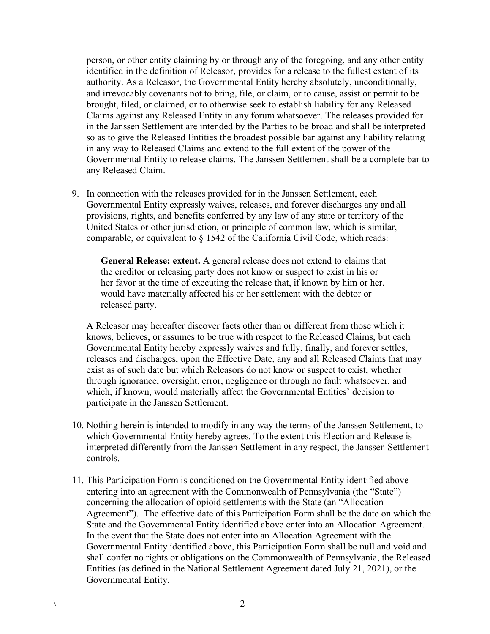person, or other entity claiming by or through any of the foregoing, and any other entity identified in the definition of Releasor, provides for a release to the fullest extent of its authority. As a Releasor, the Governmental Entity hereby absolutely, unconditionally, and irrevocably covenants not to bring, file, or claim, or to cause, assist or permit to be brought, filed, or claimed, or to otherwise seek to establish liability for any Released Claims against any Released Entity in any forum whatsoever. The releases provided for in the Janssen Settlement are intended by the Parties to be broad and shall be interpreted so as to give the Released Entities the broadest possible bar against any liability relating in any way to Released Claims and extend to the full extent of the power of the Governmental Entity to release claims. The Janssen Settlement shall be a complete bar to any Released Claim.

9. In connection with the releases provided for in the Janssen Settlement, each Governmental Entity expressly waives, releases, and forever discharges any and all provisions, rights, and benefits conferred by any law of any state or territory of the United States or other jurisdiction, or principle of common law, which is similar, comparable, or equivalent to § 1542 of the California Civil Code, which reads:

**General Release; extent.** A general release does not extend to claims that the creditor or releasing party does not know or suspect to exist in his or her favor at the time of executing the release that, if known by him or her, would have materially affected his or her settlement with the debtor or released party.

A Releasor may hereafter discover facts other than or different from those which it knows, believes, or assumes to be true with respect to the Released Claims, but each Governmental Entity hereby expressly waives and fully, finally, and forever settles, releases and discharges, upon the Effective Date, any and all Released Claims that may exist as of such date but which Releasors do not know or suspect to exist, whether through ignorance, oversight, error, negligence or through no fault whatsoever, and which, if known, would materially affect the Governmental Entities' decision to participate in the Janssen Settlement.

- 10. Nothing herein is intended to modify in any way the terms of the Janssen Settlement, to which Governmental Entity hereby agrees. To the extent this Election and Release is interpreted differently from the Janssen Settlement in any respect, the Janssen Settlement controls.
- 11. This Participation Form is conditioned on the Governmental Entity identified above entering into an agreement with the Commonwealth of Pennsylvania (the "State") concerning the allocation of opioid settlements with the State (an "Allocation Agreement"). The effective date of this Participation Form shall be the date on which the State and the Governmental Entity identified above enter into an Allocation Agreement. In the event that the State does not enter into an Allocation Agreement with the Governmental Entity identified above, this Participation Form shall be null and void and shall confer no rights or obligations on the Commonwealth of Pennsylvania, the Released Entities (as defined in the National Settlement Agreement dated July 21, 2021), or the Governmental Entity.